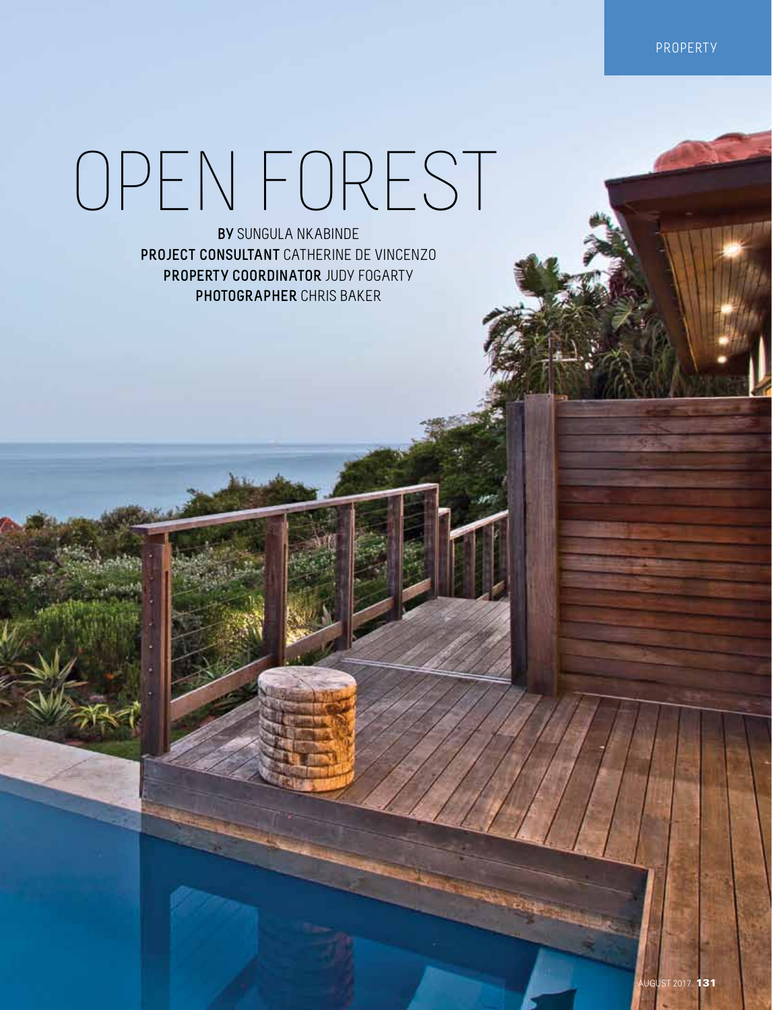property

## Open forest

**By** Sungula Nkabinde **Project Consultant** Catherine de Vincenzo **Property Coordinator** Judy Fogarty **Photographer** Chris Baker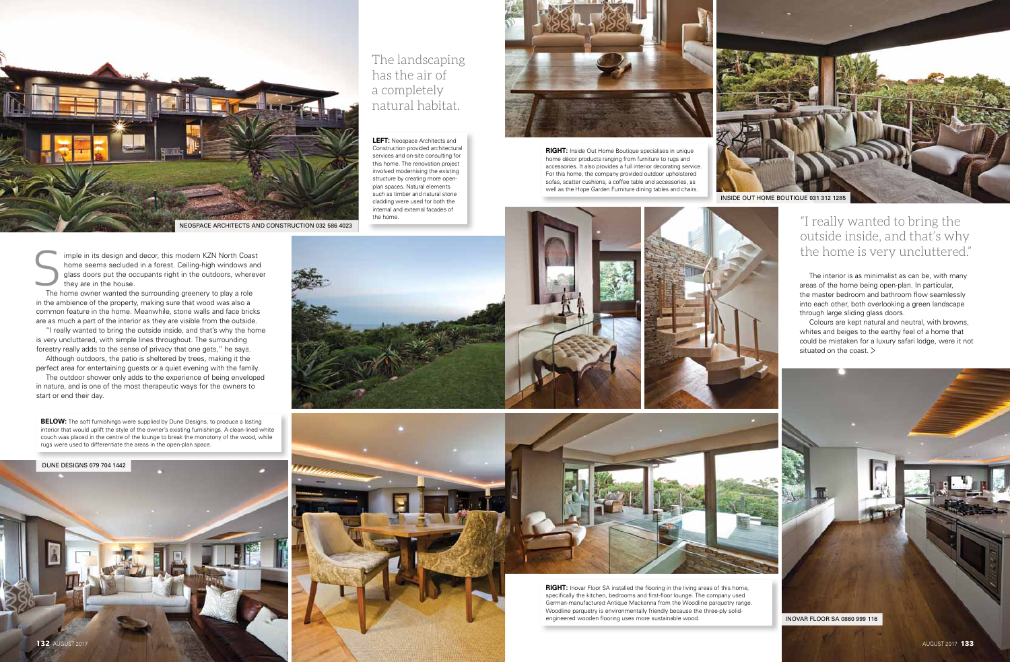imple in its design and decor, this modern KZN North Coast home seems secluded in a forest. Ceiling-high windows and glass doors put the occupants right in the outdoors, wherever they are in the house. Imple in its design and decor, this modern KZN North Coase<br>home seems secluded in a forest. Ceiling-high windows and glass doors put the occupants right in the outdoors, where<br>they are in the house.<br>The home owner wanted t

in the ambience of the property, making sure that wood was also a common feature in the home. Meanwhile, stone walls and face bricks are as much a part of the interior as they are visible from the outside.

"I really wanted to bring the outside inside, and that's why the home is very uncluttered, with simple lines throughout. The surrounding forestry really adds to the sense of privacy that one gets," he says.



**RIGHT:** Inovar Floor SA installed the flooring in the living areas of this home, specifically the kitchen, bedrooms and first-floor lounge. The company used German-manufactured Antique Mackenna from the Woodline parquetry range. Woodline parquetry is environmentally friendly because the three-ply solidengineered wooden flooring uses more sustainable wood.

Although outdoors, the patio is sheltered by trees, making it the perfect area for entertaining guests or a quiet evening with the family.

The outdoor shower only adds to the experience of being enveloped in nature, and is one of the most therapeutic ways for the owners to start or end their day.





**RIGHT:** Inside Out Home Boutique specialises in unique home décor products ranging from furniture to rugs and accessories. It also provides a full interior decorating service. For this home, the company provided outdoor upholstered sofas, scatter cushions, a coffee table and accessories, as well as the Hope Garden Furniture dining tables and chairs.



**BELOW:** The soft furnishings were supplied by Dune Designs, to produce a lasting interior that would uplift the style of the owner's existing furnishings. A clean-lined white couch was placed in the centre of the lounge to break the monotony of the wood, while rugs were used to differentiate the areas in the open-plan space.





**LEFT:** Neospace Architects and Construction provided architectural services and on-site consulting for this home. The renovation project involved modernising the existing structure by creating more openplan spaces. Natural elements such as timber and natural stone cladding were used for both the internal and external facades of

The interior is as minimalist as can be, with many areas of the home being open-plan. In particular, the master bedroom and bathroom flow seamlessly into each other, both overlooking a green landscape through large sliding glass doors.





## The landscaping has the air of a completely natural habitat.

Colours are kept natural and neutral, with browns, whites and beiges to the earthy feel of a home that could be mistaken for a luxury safari lodge, were it not situated on the coast. >







## outside inside, and that's why the home is very uncluttered."